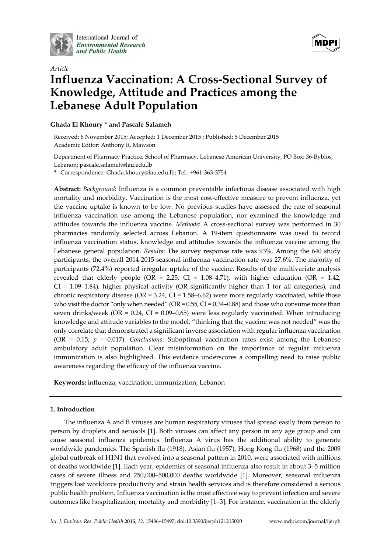

International Journal of **Environmental Research** and Public Health



# *Article* **Influenza Vaccination: A Cross-Sectional Survey of Knowledge, Attitude and Practices among the Lebanese Adult Population**

# **Ghada El Khoury \* and Pascale Salameh**

Received: 6 November 2015; Accepted: 1 December 2015 ; Published: 5 December 2015 Academic Editor: Anthony R. Mawson

Department of Pharmacy Practice, School of Pharmacy, Lebanese American University, PO Box: 36-Byblos, Lebanon; pascale.salameh@lau.edu.lb

**\*** Correspondence: Ghada.khoury@lau.edu.lb; Tel.: +961-363-3754

**Abstract:** *Background*: Influenza is a common preventable infectious disease associated with high mortality and morbidity. Vaccination is the most cost-effective measure to prevent influenza, yet the vaccine uptake is known to be low. No previous studies have assessed the rate of seasonal influenza vaccination use among the Lebanese population, nor examined the knowledge and attitudes towards the influenza vaccine. *Methods*: A cross-sectional survey was performed in 30 pharmacies randomly selected across Lebanon. A 19-item questionnaire was used to record influenza vaccination status, knowledge and attitudes towards the influenza vaccine among the Lebanese general population. *Results*: The survey response rate was 93%. Among the 640 study participants, the overall 2014-2015 seasonal influenza vaccination rate was 27.6%. The majority of participants (72.4%) reported irregular uptake of the vaccine. Results of the multivariate analysis revealed that elderly people (OR = 2.25, CI =  $1.08-4.71$ ), with higher education (OR =  $1.42$ ,  $CI = 1.09-1.84$ ), higher physical activity (OR significantly higher than 1 for all categories), and chronic respiratory disease ( $OR = 3.24$ ,  $CI = 1.58–6.62$ ) were more regularly vaccinated, while those who visit the doctor "only when needed" (OR = 0.55, CI = 0.34–0.88) and those who consume more than seven drinks/week (OR = 0.24, CI = 0.09–0.65) were less regularly vaccinated. When introducing knowledge and attitude variables to the model, "thinking that the vaccine was not needed" was the only correlate that demonstrated a significant inverse association with regular influenza vaccination (OR = 0.15; *p* = 0.017). *Conclusions*: Suboptimal vaccination rates exist among the Lebanese ambulatory adult population. Clear misinformation on the importance of regular influenza immunization is also highlighted. This evidence underscores a compelling need to raise public awareness regarding the efficacy of the influenza vaccine.

**Keywords:** influenza; vaccination; immunization; Lebanon

# **1. Introduction**

The influenza A and B viruses are human respiratory viruses that spread easily from person to person by droplets and aerosols [1]. Both viruses can affect any person in any age group and can cause seasonal influenza epidemics. Influenza A virus has the additional ability to generate worldwide pandemics. The Spanish flu (1918), Asian flu (1957), Hong Kong flu (1968) and the 2009 global outbreak of H1N1 that evolved into a seasonal pattern in 2010, were associated with millions of deaths worldwide [1]. Each year, epidemics of seasonal influenza also result in about 3–5 million cases of severe illness and 250,000–500,000 deaths worldwide [1]. Moreover, seasonal influenza triggers lost workforce productivity and strain health services and is therefore considered a serious public health problem. Influenza vaccination is the most effective way to prevent infection and severe outcomes like hospitalization, mortality and morbidity [1–3]. For instance, vaccination in the elderly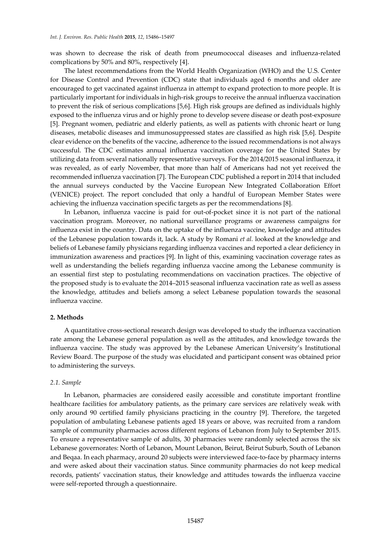was shown to decrease the risk of death from pneumococcal diseases and influenza-related complications by 50% and 80%, respectively [4].

The latest recommendations from the World Health Organization (WHO) and the U.S. Center for Disease Control and Prevention (CDC) state that individuals aged 6 months and older are encouraged to get vaccinated against influenza in attempt to expand protection to more people. It is particularly important for individuals in high-risk groups to receive the annual influenza vaccination to prevent the risk of serious complications [5,6]. High risk groups are defined as individuals highly exposed to the influenza virus and or highly prone to develop severe disease or death post-exposure [5]. Pregnant women, pediatric and elderly patients, as well as patients with chronic heart or lung diseases, metabolic diseases and immunosuppressed states are classified as high risk [5,6]. Despite clear evidence on the benefits of the vaccine, adherence to the issued recommendations is not always successful. The CDC estimates annual influenza vaccination coverage for the United States by utilizing data from several nationally representative surveys. For the 2014/2015 seasonal influenza, it was revealed, as of early November, that more than half of Americans had not yet received the recommended influenza vaccination [7]. The European CDC published a report in 2014 that included the annual surveys conducted by the Vaccine European New Integrated Collaboration Effort (VENICE) project. The report concluded that only a handful of European Member States were achieving the influenza vaccination specific targets as per the recommendations [8].

In Lebanon, influenza vaccine is paid for out-of-pocket since it is not part of the national vaccination program. Moreover, no national surveillance programs or awareness campaigns for influenza exist in the country. Data on the uptake of the influenza vaccine, knowledge and attitudes of the Lebanese population towards it, lack. A study by Romani *et al.* looked at the knowledge and beliefs of Lebanese family physicians regarding influenza vaccines and reported a clear deficiency in immunization awareness and practices [9]. In light of this, examining vaccination coverage rates as well as understanding the beliefs regarding influenza vaccine among the Lebanese community is an essential first step to postulating recommendations on vaccination practices. The objective of the proposed study is to evaluate the 2014–2015 seasonal influenza vaccination rate as well as assess the knowledge, attitudes and beliefs among a select Lebanese population towards the seasonal influenza vaccine.

## **2. Methods**

A quantitative cross-sectional research design was developed to study the influenza vaccination rate among the Lebanese general population as well as the attitudes, and knowledge towards the influenza vaccine. The study was approved by the Lebanese American University's Institutional Review Board. The purpose of the study was elucidated and participant consent was obtained prior to administering the surveys.

#### *2.1. Sample*

In Lebanon, pharmacies are considered easily accessible and constitute important frontline healthcare facilities for ambulatory patients, as the primary care services are relatively weak with only around 90 certified family physicians practicing in the country [9]. Therefore, the targeted population of ambulating Lebanese patients aged 18 years or above, was recruited from a random sample of community pharmacies across different regions of Lebanon from July to September 2015. To ensure a representative sample of adults, 30 pharmacies were randomly selected across the six Lebanese governorates: North of Lebanon, Mount Lebanon, Beirut, Beirut Suburb, South of Lebanon and Beqaa. In each pharmacy, around 20 subjects were interviewed face-to-face by pharmacy interns and were asked about their vaccination status. Since community pharmacies do not keep medical records, patients' vaccination status, their knowledge and attitudes towards the influenza vaccine were self-reported through a questionnaire.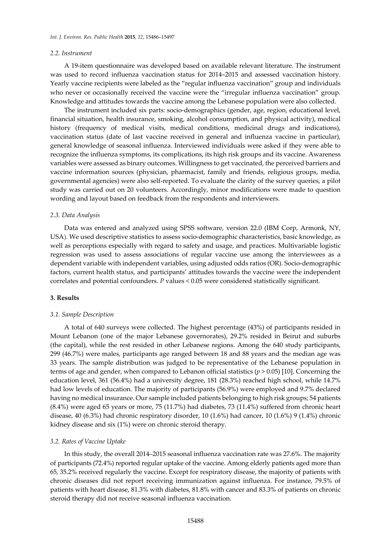#### *2.2. Instrument*

A 19-item questionnaire was developed based on available relevant literature. The instrument was used to record influenza vaccination status for 2014–2015 and assessed vaccination history. Yearly vaccine recipients were labeled as the "regular influenza vaccination" group and individuals who never or occasionally received the vaccine were the "irregular influenza vaccination" group. Knowledge and attitudes towards the vaccine among the Lebanese population were also collected.

The instrument included six parts: socio-demographics (gender, age, region, educational level, financial situation, health insurance, smoking, alcohol consumption, and physical activity), medical history (frequency of medical visits, medical conditions, medicinal drugs and indications), vaccination status (date of last vaccine received in general and influenza vaccine in particular), general knowledge of seasonal influenza. Interviewed individuals were asked if they were able to recognize the influenza symptoms, its complications, its high risk groups and its vaccine. Awareness variables were assessed as binary outcomes. Willingness to get vaccinated, the perceived barriers and vaccine information sources (physician, pharmacist, family and friends, religious groups, media, governmental agencies) were also self-reported. To evaluate the clarity of the survey queries, a pilot study was carried out on 20 volunteers. Accordingly, minor modifications were made to question wording and layout based on feedback from the respondents and interviewers.

#### *2.3. Data Analysis*

Data was entered and analyzed using SPSS software, version 22.0 (IBM Corp, Armonk, NY, USA). We used descriptive statistics to assess socio-demographic characteristics, basic knowledge, as well as perceptions especially with regard to safety and usage, and practices. Multivariable logistic regression was used to assess associations of regular vaccine use among the interviewees as a dependent variable with independent variables, using adjusted odds ratios (OR). Socio-demographic factors, current health status, and participants' attitudes towards the vaccine were the independent correlates and potential confounders. *P* values < 0.05 were considered statistically significant.

#### **3. Results**

### *3.1. Sample Description*

A total of 640 surveys were collected. The highest percentage (43%) of participants resided in Mount Lebanon (one of the major Lebanese governorates), 29.2% resided in Beirut and suburbs (the capital), while the rest resided in other Lebanese regions. Among the 640 study participants, 299 (46.7%) were males, participants age ranged between 18 and 88 years and the median age was 33 years. The sample distribution was judged to be representative of the Lebanese population in terms of age and gender, when compared to Lebanon official statistics (*p* > 0.05) [10]. Concerning the education level, 361 (56.4%) had a university degree, 181 (28.3%) reached high school, while 14.7% had low levels of education. The majority of participants (56.9%) were employed and 9.7% declared having no medical insurance. Our sample included patients belonging to high risk groups; 54 patients (8.4%) were aged 65 years or more, 75 (11.7%) had diabetes, 73 (11.4%) suffered from chronic heart disease, 40 (6.3%) had chronic respiratory disorder, 10 (1.6%) had cancer, 10 (1.6%) 9 (1.4%) chronic kidney disease and six (1%) were on chronic steroid therapy.

#### *3.2. Rates of Vaccine Uptake*

In this study, the overall 2014–2015 seasonal influenza vaccination rate was 27.6%. The majority of participants (72.4%) reported regular uptake of the vaccine. Among elderly patients aged more than 65, 35.2% received regularly the vaccine. Except for respiratory disease, the majority of patients with chronic diseases did not report receiving immunization against influenza. For instance, 79.5% of patients with heart disease, 81.3% with diabetes, 81.8% with cancer and 83.3% of patients on chronic steroid therapy did not receive seasonal influenza vaccination.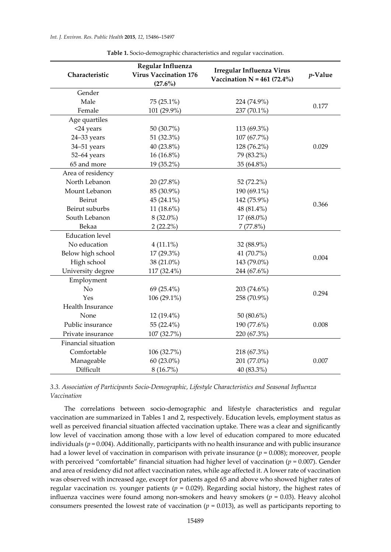| Characteristic         | Regular Influenza<br><b>Virus Vaccination 176</b><br>$(27.6\%)$ | <b>Irregular Influenza Virus</b><br>Vaccination $N = 461 (72.4%)$ | p-Value |
|------------------------|-----------------------------------------------------------------|-------------------------------------------------------------------|---------|
| Gender                 |                                                                 |                                                                   |         |
| Male                   | $75(25.1\%)$                                                    | 224 (74.9%)                                                       |         |
| Female                 | 101 (29.9%)                                                     | 237 (70.1%)                                                       | 0.177   |
| Age quartiles          |                                                                 |                                                                   |         |
| <24 years              | 50 (30.7%)                                                      | 113 (69.3%)                                                       |         |
| 24-33 years            | 51 (32.3%)                                                      | 107 (67.7%)                                                       |         |
| 34-51 years            | 40 (23.8%)                                                      | 128 (76.2%)                                                       | 0.029   |
| 52-64 years            | 16 (16.8%)                                                      | 79 (83.2%)                                                        |         |
| 65 and more            | 19 (35.2%)                                                      | 35 (64.8%)                                                        |         |
| Area of residency      |                                                                 |                                                                   |         |
| North Lebanon          | 20 (27.8%)                                                      | 52 (72.2%)                                                        |         |
| Mount Lebanon          | 85 (30.9%)                                                      | 190 (69.1%)                                                       |         |
| Beirut                 | 45 $(24.1\%)$                                                   | 142 (75.9%)                                                       | 0.366   |
| Beirut suburbs         | 11 (18.6%)                                                      | 48 (81.4%)                                                        |         |
| South Lebanon          | $8(32.0\%)$                                                     | 17 (68.0%)                                                        |         |
| Bekaa                  | $2(22.2\%)$                                                     | 7(77.8%)                                                          |         |
| <b>Education</b> level |                                                                 |                                                                   |         |
| No education           | $4(11.1\%)$                                                     | 32 (88.9%)                                                        |         |
| Below high school      | 17 (29.3%)                                                      | 41 (70.7%)                                                        | 0.004   |
| High school            | 38 (21.0%)                                                      | 143 (79.0%)                                                       |         |
| University degree      | 117 (32.4%)                                                     | 244 (67.6%)                                                       |         |
| Employment             |                                                                 |                                                                   |         |
| No                     | 69 $(25.4\%)$                                                   | 203 (74.6%)                                                       | 0.294   |
| Yes                    | 106 (29.1%)                                                     | 258 (70.9%)                                                       |         |
| Health Insurance       |                                                                 |                                                                   |         |
| None                   | $12(19.4\%)$                                                    | 50 (80.6%)                                                        |         |
| Public insurance       | 55 (22.4%)                                                      | 190 (77.6%)                                                       | 0.008   |
| Private insurance      | 107 (32.7%)                                                     | 220 (67.3%)                                                       |         |
| Financial situation    |                                                                 |                                                                   |         |
| Comfortable            | 106 (32.7%)                                                     | 218 (67.3%)                                                       |         |
| Manageable             | 60 (23.0%)                                                      | 201 (77.0%)                                                       | 0.007   |
| Difficult              | 8(16.7%)                                                        | 40 (83.3%)                                                        |         |

**Table 1.** Socio-demographic characteristics and regular vaccination.

*3.3. Association of Participants Socio-Demographic, Lifestyle Characteristics and Seasonal Influenza Vaccination*

The correlations between socio-demographic and lifestyle characteristics and regular vaccination are summarized in Tables 1 and 2, respectively. Education levels, employment status as well as perceived financial situation affected vaccination uptake. There was a clear and significantly low level of vaccination among those with a low level of education compared to more educated individuals (*p* = 0.004). Additionally, participants with no health insurance and with public insurance had a lower level of vaccination in comparison with private insurance (*p* = 0.008); moreover, people with perceived "comfortable" financial situation had higher level of vaccination (*p* = 0.007). Gender and area of residency did not affect vaccination rates, while age affected it. A lower rate of vaccination was observed with increased age, except for patients aged 65 and above who showed higher rates of regular vaccination *vs.* younger patients ( $p = 0.029$ ). Regarding social history, the highest rates of influenza vaccines were found among non-smokers and heavy smokers (*p* = 0.03). Heavy alcohol consumers presented the lowest rate of vaccination ( $p = 0.013$ ), as well as participants reporting to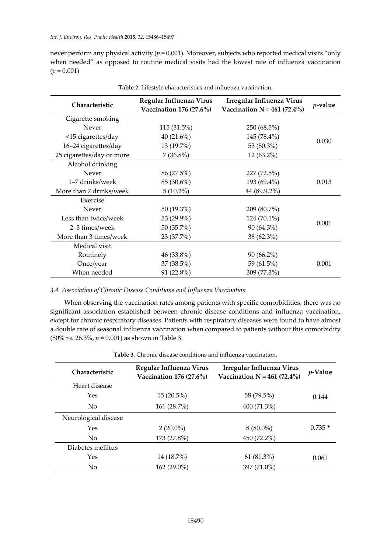never perform any physical activity (*p* = 0.001). Moreover, subjects who reported medical visits "only when needed" as opposed to routine medical visits had the lowest rate of influenza vaccination  $(p = 0.001)$ 

| Characteristic            | Regular Influenza Virus<br>Vaccination 176 (27.6%) | Irregular Influenza Virus<br>Vaccination $N = 461 (72.4%)$ | $p$ -value |
|---------------------------|----------------------------------------------------|------------------------------------------------------------|------------|
| Cigarette smoking         |                                                    |                                                            |            |
| Never                     | 115 (31.5%)                                        | 250 (68.5%)                                                |            |
| <15 cigarettes/day        | 40 $(21.6\%)$                                      | 145 (78.4%)                                                | 0.030      |
| 16-24 cigarettes/day      | 13 (19.7%)                                         | 53 (80.3%)                                                 |            |
| 25 cigarettes/day or more | $7(36.8\%)$                                        | 12 (63.2%)                                                 |            |
| Alcohol drinking          |                                                    |                                                            |            |
| <b>Never</b>              | 86 (27.5%)                                         | 227 (72.5%)                                                |            |
| 1-7 drinks/week           | 85 (30.6%)                                         | 193 (69.4%)                                                | 0.013      |
| More than 7 drinks/week   | $5(10.2\%)$                                        | 44 (89.9.2%)                                               |            |
| Exercise                  |                                                    |                                                            |            |
| Never                     | 50 (19.3%)                                         | 209 (80.7%)                                                |            |
| Less than twice/week      | 53 (29.9%)                                         | 124 (70.1%)                                                |            |
| 2-3 times/week            | 50 (35.7%)                                         | 90 (64.3%)                                                 | 0.001      |
| More than 3 times/week    | 23 (37.7%)                                         | 38 (62.3%)                                                 |            |
| Medical visit             |                                                    |                                                            |            |
| Routinely                 | 46 (33.8%)                                         | $90(66.2\%)$                                               |            |
| Once/year                 | 37 (38.5%)                                         | 59 (61.5%)                                                 | 0.001      |
| When needed               | 91 (22.8%)                                         | 309 (77.3%)                                                |            |

**Table 2.** Lifestyle characteristics and influenza vaccination.

## *3.4. Association of Chronic Disease Conditions and Influenza Vaccination*

When observing the vaccination rates among patients with specific comorbidities, there was no significant association established between chronic disease conditions and influenza vaccination, except for chronic respiratory diseases. Patients with respiratory diseases were found to have almost a double rate of seasonal influenza vaccination when compared to patients without this comorbidity (50% *vs.* 26.3%, *p* = 0.001) as shown in Table 3.

| <b>Characteristic</b> | Regular Influenza Virus<br>Vaccination 176 (27.6%) | Irregular Influenza Virus<br>Vaccination $N = 461 (72.4\%)$ | <i>p</i> -Value |
|-----------------------|----------------------------------------------------|-------------------------------------------------------------|-----------------|
| Heart disease         |                                                    |                                                             |                 |
| <b>Yes</b>            | $15(20.5\%)$                                       | 58 (79.5%)                                                  | 0.144           |
| N <sub>0</sub>        | 161 (28.7%)                                        | 400 (71.3%)                                                 |                 |
| Neurological disease  |                                                    |                                                             |                 |
| Yes                   | $2(20.0\%)$                                        | $8(80.0\%)$                                                 | $0.735*$        |
| No.                   | 173 (27.8%)                                        | 450 (72.2%)                                                 |                 |
| Diabetes mellitus     |                                                    |                                                             |                 |
| Yes                   | 14 (18.7%)                                         | 61 (81.3%)                                                  | 0.061           |
| N <sub>0</sub>        | 162 (29.0%)                                        | 397 (71.0%)                                                 |                 |

**Table 3.** Chronic disease conditions and influenza vaccination.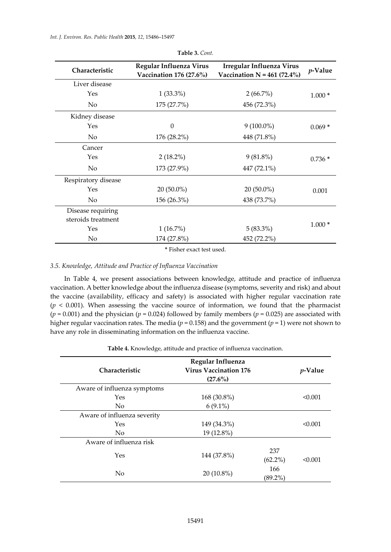| Characteristic      | Regular Influenza Virus<br>Vaccination 176 (27.6%) | Irregular Influenza Virus<br>Vaccination $N = 461 (72.4%)$ | $p$ -Value |
|---------------------|----------------------------------------------------|------------------------------------------------------------|------------|
| Liver disease       |                                                    |                                                            |            |
| Yes                 | $1(33.3\%)$                                        | $2(66.7\%)$                                                | $1.000*$   |
| No                  | 175 (27.7%)                                        | 456 (72.3%)                                                |            |
| Kidney disease      |                                                    |                                                            |            |
| Yes                 | $\mathbf{0}$                                       | $9(100.0\%)$                                               | $0.069*$   |
| No                  | 176 (28.2%)                                        | 448 (71.8%)                                                |            |
| Cancer              |                                                    |                                                            |            |
| Yes                 | $2(18.2\%)$                                        | $9(81.8\%)$                                                | $0.736*$   |
| No                  | 173 (27.9%)                                        | 447 (72.1%)                                                |            |
| Respiratory disease |                                                    |                                                            |            |
| Yes                 | $20(50.0\%)$                                       | $20(50.0\%)$                                               | 0.001      |
| No                  | 156 (26.3%)                                        | 438 (73.7%)                                                |            |
| Disease requiring   |                                                    |                                                            |            |
| steroids treatment  |                                                    |                                                            |            |
| Yes                 | 1(16.7%)                                           | $5(83.3\%)$                                                | $1.000*$   |
| No                  | 174 (27.8%)                                        | 452 (72.2%)                                                |            |

**Table 3.** *Cont.*

**\*** Fisher exact test used.

## *3.5. Knowledge, Attitude and Practice of Influenza Vaccination*

In Table 4, we present associations between knowledge, attitude and practice of influenza vaccination. A better knowledge about the influenza disease (symptoms, severity and risk) and about the vaccine (availability, efficacy and safety) is associated with higher regular vaccination rate  $(p < 0.001)$ . When assessing the vaccine source of information, we found that the pharmacist ( $p = 0.001$ ) and the physician ( $p = 0.024$ ) followed by family members ( $p = 0.025$ ) are associated with higher regular vaccination rates. The media (*p* = 0.158) and the government (*p* = 1) were not shown to have any role in disseminating information on the influenza vaccine.

| Table 4. Knowledge, attitude and practice of influenza vaccination. |  |  |  |  |  |  |  |
|---------------------------------------------------------------------|--|--|--|--|--|--|--|
|---------------------------------------------------------------------|--|--|--|--|--|--|--|

| Characteristic                                       | Regular Influenza<br>Virus Vaccination 176<br>$(27.6\%)$ | <i>p</i> -Value   |         |
|------------------------------------------------------|----------------------------------------------------------|-------------------|---------|
| Aware of influenza symptoms<br>Yes<br>N <sub>0</sub> | 168 (30.8%)<br>$6(9.1\%)$                                |                   | < 0.001 |
| Aware of influenza severity<br>Yes<br>N <sub>o</sub> | 149 (34.3%)<br>19 (12.8%)                                |                   | < 0.001 |
| Aware of influenza risk<br>Yes                       | 144 (37.8%)                                              | 237<br>$(62.2\%)$ | < 0.001 |
| No                                                   | $20(10.8\%)$                                             | 166<br>$(89.2\%)$ |         |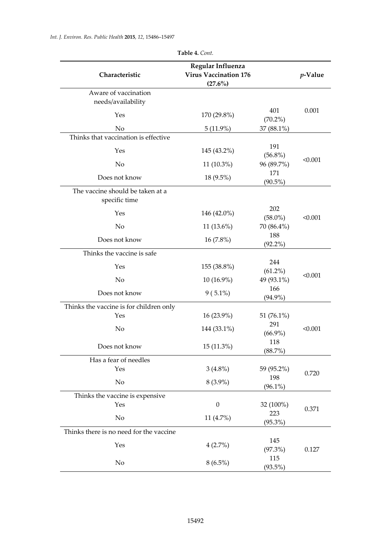| Characteristic                                    | Regular Influenza<br><b>Virus Vaccination 176</b><br>$(27.6\%)$ |                   | $p$ -Value |
|---------------------------------------------------|-----------------------------------------------------------------|-------------------|------------|
| Aware of vaccination<br>needs/availability        |                                                                 |                   |            |
| Yes                                               | 170 (29.8%)                                                     | 401<br>$(70.2\%)$ | 0.001      |
| No                                                | $5(11.9\%)$                                                     | 37 (88.1%)        |            |
| Thinks that vaccination is effective              |                                                                 |                   |            |
| Yes                                               | 145 (43.2%)                                                     | 191<br>$(56.8\%)$ |            |
| No                                                | 11 (10.3%)                                                      | 96 (89.7%)        | < 0.001    |
| Does not know                                     | 18 (9.5%)                                                       | 171<br>$(90.5\%)$ |            |
| The vaccine should be taken at a<br>specific time |                                                                 |                   |            |
| Yes                                               | 146 (42.0%)                                                     | 202<br>$(58.0\%)$ | < 0.001    |
| No                                                | 11 (13.6%)                                                      | 70 (86.4%)        |            |
| Does not know                                     | 16 (7.8%)                                                       | 188<br>$(92.2\%)$ |            |
| Thinks the vaccine is safe                        |                                                                 |                   |            |
| Yes                                               | 155 (38.8%)                                                     | 244<br>$(61.2\%)$ |            |
| No                                                | 10 (16.9%)                                                      | 49 (93.1%)        | < 0.001    |
| Does not know                                     | $9(5.1\%)$                                                      | 166<br>$(94.9\%)$ |            |
| Thinks the vaccine is for children only           |                                                                 |                   |            |
| Yes                                               | 16 (23.9%)                                                      | 51 (76.1%)        |            |
| No                                                | 144 (33.1%)                                                     | 291<br>$(66.9\%)$ | < 0.001    |
| Does not know                                     | 15 (11.3%)                                                      | 118<br>(88.7%)    |            |
| Has a fear of needles                             |                                                                 |                   |            |
| Yes                                               | $3(4.8\%)$                                                      | 59 (95.2%)        | 0.720      |
| No                                                | $8(3.9\%)$                                                      | 198<br>$(96.1\%)$ |            |
| Thinks the vaccine is expensive                   |                                                                 |                   |            |
| Yes                                               | $\boldsymbol{0}$                                                | 32 (100%)         |            |
|                                                   |                                                                 | 223               | 0.371      |
| No                                                | 11 (4.7%)                                                       | $(95.3\%)$        |            |
| Thinks there is no need for the vaccine           |                                                                 |                   |            |
| Yes                                               | 4(2.7%)                                                         | 145<br>(97.3%)    | 0.127      |
| No                                                | $8(6.5\%)$                                                      | 115<br>(93.5%)    |            |

**Table 4.** *Cont.*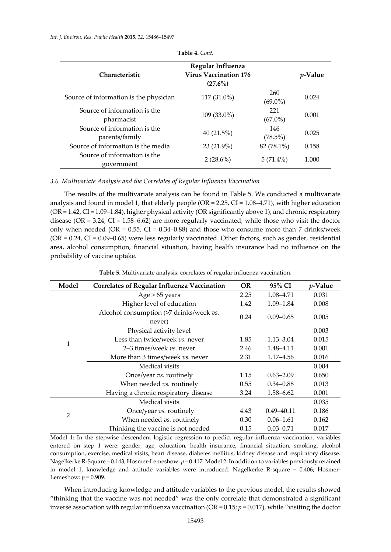*Int. J. Environ. Res. Public Health* **2015**, *12*, 15486–15497

| Characteristic                                 | Regular Influenza<br><b>Virus Vaccination 176</b><br>$(27.6\%)$ |                   | <i>v</i> -Value |
|------------------------------------------------|-----------------------------------------------------------------|-------------------|-----------------|
| Source of information is the physician         | 117 (31.0%)                                                     | 260<br>$(69.0\%)$ | 0.024           |
| Source of information is the<br>pharmacist     | 109 (33.0%)                                                     | 221<br>$(67.0\%)$ | 0.001           |
| Source of information is the<br>parents/family | 40 $(21.5\%)$                                                   | 146<br>$(78.5\%)$ | 0.025           |
| Source of information is the media             | 23 (21.9%)                                                      | 82 (78.1%)        | 0.158           |
| Source of information is the<br>government     | $2(28.6\%)$                                                     | $5(71.4\%)$       | 1.000           |

**Table 4.** *Cont.*

*3.6. Multivariate Analysis and the Correlates of Regular Influenza Vaccination*

The results of the multivariate analysis can be found in Table 5. We conducted a multivariate analysis and found in model 1, that elderly people (OR = 2.25, CI = 1.08–4.71), with higher education  $(OR = 1.42, CI = 1.09 - 1.84)$ , higher physical activity  $(OR$  significantly above 1), and chronic respiratory disease (OR =  $3.24$ , CI =  $1.58-6.62$ ) are more regularly vaccinated, while those who visit the doctor only when needed (OR =  $0.55$ , CI =  $0.34$ -0.88) and those who consume more than 7 drinks/week (OR = 0.24, CI = 0.09–0.65) were less regularly vaccinated. Other factors, such as gender, residential area, alcohol consumption, financial situation, having health insurance had no influence on the probability of vaccine uptake.

| Model          | <b>Correlates of Regular Influenza Vaccination</b> | <b>OR</b> | 95% CI         | $p$ -Value |
|----------------|----------------------------------------------------|-----------|----------------|------------|
|                | $Age > 65$ years                                   | 2.25      | 1.08–4.71      | 0.031      |
|                | Higher level of education                          | 1.42      | $1.09 - 1.84$  | 0.008      |
|                | Alcohol consumption (>7 drinks/week vs.<br>never)  | 0.24      | $0.09 - 0.65$  | 0.005      |
|                | Physical activity level                            |           |                | 0.003      |
|                | Less than twice/week vs. never                     | 1.85      | $1.13 - 3.04$  | 0.015      |
| 1              | 2–3 times/week vs. never                           | 2.46      | 1.48–4.11      | 0.001      |
|                | More than 3 times/week vs. never                   | 2.31      | 1.17–4.56      | 0.016      |
|                | Medical visits                                     |           |                | 0.004      |
|                | Once/year vs. routinely                            | 1.15      | $0.63 - 2.09$  | 0.650      |
|                | When needed vs. routinely                          | 0.55      | $0.34 - 0.88$  | 0.013      |
|                | Having a chronic respiratory disease               | 3.24      | 1.58–6.62      | 0.001      |
|                | Medical visits                                     |           |                | 0.035      |
| $\overline{2}$ | Once/year vs. routinely                            | 4.43      | $0.49 - 40.11$ | 0.186      |
|                | When needed vs. routinely                          | 0.30      | $0.06 - 1.61$  | 0.162      |
|                | Thinking the vaccine is not needed                 | 0.15      | $0.03 - 0.71$  | 0.017      |

**Table 5.** Multivariate analysis: correlates of regular influenza vaccination.

Model 1: In the stepwise descendent logistic regression to predict regular influenza vaccination, variables entered on step 1 were: gender, age, education, health insurance, financial situation, smoking, alcohol consumption, exercise, medical visits, heart disease, diabetes mellitus, kidney disease and respiratory disease. Nagelkerke R-Square = 0.143; Hosmer-Lemeshow: *p* = 0.417. Model 2: In addition to variables previously retained in model 1, knowledge and attitude variables were introduced. Nagelkerke R-square = 0.406; Hosmer-Lemeshow: *p* = 0.909.

When introducing knowledge and attitude variables to the previous model, the results showed "thinking that the vaccine was not needed" was the only correlate that demonstrated a significant inverse association with regular influenza vaccination ( $OR = 0.15$ ;  $p = 0.017$ ), while "visiting the doctor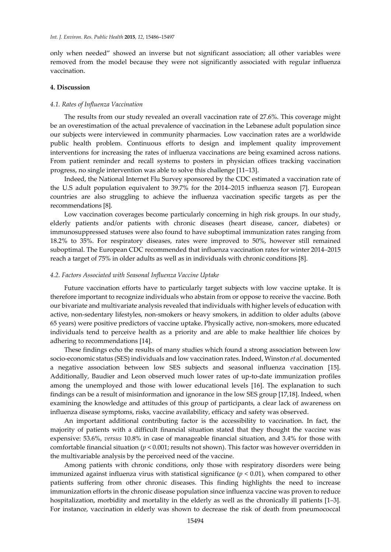only when needed" showed an inverse but not significant association; all other variables were removed from the model because they were not significantly associated with regular influenza vaccination.

### **4. Discussion**

#### *4.1. Rates of Influenza Vaccination*

The results from our study revealed an overall vaccination rate of 27.6%. This coverage might be an overestimation of the actual prevalence of vaccination in the Lebanese adult population since our subjects were interviewed in community pharmacies. Low vaccination rates are a worldwide public health problem. Continuous efforts to design and implement quality improvement interventions for increasing the rates of influenza vaccinations are being examined across nations. From patient reminder and recall systems to posters in physician offices tracking vaccination progress, no single intervention was able to solve this challenge [11–13].

Indeed, the National Internet Flu Survey sponsored by the CDC estimated a vaccination rate of the U.S adult population equivalent to 39.7% for the 2014–2015 influenza season [7]. European countries are also struggling to achieve the influenza vaccination specific targets as per the recommendations [8].

Low vaccination coverages become particularly concerning in high risk groups. In our study, elderly patients and/or patients with chronic diseases (heart disease, cancer, diabetes) or immunosuppressed statuses were also found to have suboptimal immunization rates ranging from 18.2% to 35%. For respiratory diseases, rates were improved to 50%, however still remained suboptimal. The European CDC recommended that influenza vaccination rates for winter 2014–2015 reach a target of 75% in older adults as well as in individuals with chronic conditions [8].

#### *4.2. Factors Associated with Seasonal Influenza Vaccine Uptake*

Future vaccination efforts have to particularly target subjects with low vaccine uptake. It is therefore important to recognize individuals who abstain from or oppose to receive the vaccine. Both our bivariate and multivariate analysis revealed that individuals with higher levels of education with active, non-sedentary lifestyles, non-smokers or heavy smokers, in addition to older adults (above 65 years) were positive predictors of vaccine uptake. Physically active, non-smokers, more educated individuals tend to perceive health as a priority and are able to make healthier life choices by adhering to recommendations [14].

These findings echo the results of many studies which found a strong association between low socio-economic status (SES) individuals and low vaccination rates. Indeed, Winston *et al.* documented a negative association between low SES subjects and seasonal influenza vaccination [15]. Additionally, Baudier and Leon observed much lower rates of up-to-date immunization profiles among the unemployed and those with lower educational levels [16]. The explanation to such findings can be a result of misinformation and ignorance in the low SES group [17,18]. Indeed, when examining the knowledge and attitudes of this group of participants, a clear lack of awareness on influenza disease symptoms, risks, vaccine availability, efficacy and safety was observed.

An important additional contributing factor is the accessibility to vaccination. In fact, the majority of patients with a difficult financial situation stated that they thought the vaccine was expensive: 53.6%, *versus* 10.8% in case of manageable financial situation, and 3.4% for those with comfortable financial situation (*p* < 0.001; results not shown). This factor was however overridden in the multivariable analysis by the perceived need of the vaccine.

Among patients with chronic conditions, only those with respiratory disorders were being immunized against influenza virus with statistical significance  $(p < 0.01)$ , when compared to other patients suffering from other chronic diseases. This finding highlights the need to increase immunization efforts in the chronic disease population since influenza vaccine was proven to reduce hospitalization, morbidity and mortality in the elderly as well as the chronically ill patients [1–3]. For instance, vaccination in elderly was shown to decrease the risk of death from pneumococcal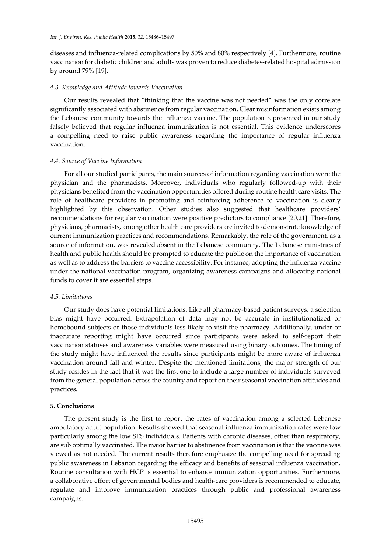diseases and influenza-related complications by 50% and 80% respectively [4]. Furthermore, routine vaccination for diabetic children and adults was proven to reduce diabetes-related hospital admission by around 79% [19].

## *4.3. Knowledge and Attitude towards Vaccination*

Our results revealed that "thinking that the vaccine was not needed" was the only correlate significantly associated with abstinence from regular vaccination. Clear misinformation exists among the Lebanese community towards the influenza vaccine. The population represented in our study falsely believed that regular influenza immunization is not essential. This evidence underscores a compelling need to raise public awareness regarding the importance of regular influenza vaccination.

# *4.4. Source of Vaccine Information*

For all our studied participants, the main sources of information regarding vaccination were the physician and the pharmacists. Moreover, individuals who regularly followed-up with their physicians benefited from the vaccination opportunities offered during routine health care visits. The role of healthcare providers in promoting and reinforcing adherence to vaccination is clearly highlighted by this observation. Other studies also suggested that healthcare providers' recommendations for regular vaccination were positive predictors to compliance [20,21]. Therefore, physicians, pharmacists, among other health care providers are invited to demonstrate knowledge of current immunization practices and recommendations. Remarkably, the role of the government, as a source of information, was revealed absent in the Lebanese community. The Lebanese ministries of health and public health should be prompted to educate the public on the importance of vaccination as well as to address the barriers to vaccine accessibility. For instance, adopting the influenza vaccine under the national vaccination program, organizing awareness campaigns and allocating national funds to cover it are essential steps.

## *4.5. Limitations*

Our study does have potential limitations. Like all pharmacy-based patient surveys, a selection bias might have occurred. Extrapolation of data may not be accurate in institutionalized or homebound subjects or those individuals less likely to visit the pharmacy. Additionally, under-or inaccurate reporting might have occurred since participants were asked to self-report their vaccination statuses and awareness variables were measured using binary outcomes. The timing of the study might have influenced the results since participants might be more aware of influenza vaccination around fall and winter. Despite the mentioned limitations, the major strength of our study resides in the fact that it was the first one to include a large number of individuals surveyed from the general population across the country and report on their seasonal vaccination attitudes and practices.

## **5. Conclusions**

The present study is the first to report the rates of vaccination among a selected Lebanese ambulatory adult population. Results showed that seasonal influenza immunization rates were low particularly among the low SES individuals. Patients with chronic diseases, other than respiratory, are sub optimally vaccinated. The major barrier to abstinence from vaccination is that the vaccine was viewed as not needed. The current results therefore emphasize the compelling need for spreading public awareness in Lebanon regarding the efficacy and benefits of seasonal influenza vaccination. Routine consultation with HCP is essential to enhance immunization opportunities. Furthermore, a collaborative effort of governmental bodies and health-care providers is recommended to educate, regulate and improve immunization practices through public and professional awareness campaigns.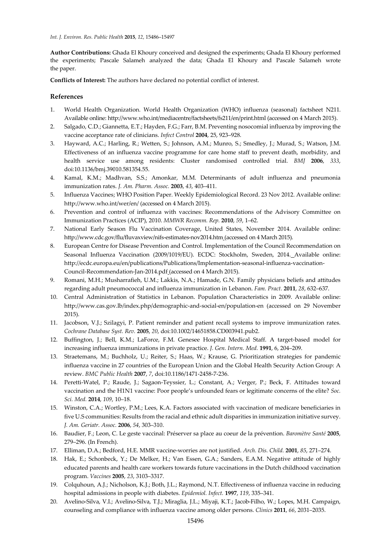**Author Contributions:** Ghada El Khoury conceived and designed the experiments; Ghada El Khoury performed the experiments; Pascale Salameh analyzed the data; Ghada El Khoury and Pascale Salameh wrote the paper.

**Conflicts of Interest:** The authors have declared no potential conflict of interest.

## **References**

- 1. World Health Organization. World Health Organization (WHO) influenza (seasonal) factsheet N211. Available online: http://www.who.int/mediacentre/factsheets/fs211/en/print.html (accessed on 4 March 2015).
- 2. Salgado, C.D.; Giannetta, E.T.; Hayden, F.G.; Farr, B.M. Preventing nosocomial influenza by improving the vaccine acceptance rate of clinicians. *Infect Control* **2004**, 25, 923–928.
- 3. Hayward, A.C.; Harling, R.; Wetten, S.; Johnson, A.M.; Munro, S.; Smedley, J.; Murad, S.; Watson, J.M. Effectiveness of an influenza vaccine programme for care home staff to prevent death, morbidity, and health service use among residents: Cluster randomised controlled trial. *BMJ* **2006**, *333*, doi:10.1136/bmj.39010.581354.55.
- 4. Kamal, K.M.; Madhvan, S.S.; Amonkar, M.M. Determinants of adult influenza and pneumonia immunization rates. *J. Am. Pharm. Assoc.* **2003**, *43*, 403–411.
- 5. Influenza Vaccines; WHO Position Paper. Weekly Epidemiological Record. 23 Nov 2012. Available online: http://www.who.int/wer/en/ (accessed on 4 March 2015).
- 6. Prevention and control of influenza with vaccines: Recommendations of the Advisory Committee on Immunization Practices (ACIP), 2010. *MMWR Recomm. Rep.* **2010**, *59*, 1–62.
- 7. National Early Season Flu Vaccination Coverage, United States, November 2014. Available online: http://www.cdc.gov/flu/fluvaxview/nifs-estimates-nov2014.htm (accessed on 4 March 2015).
- 8. European Centre for Disease Prevention and Control. Implementation of the Council Recommendation on Seasonal Influenza Vaccination (2009/1019/EU). ECDC: Stockholm, Sweden, 2014. Available online: http://ecdc.europa.eu/en/publications/Publications/Implementation-seasonal-influenza-vaccination-Council-Recommendation-Jan-2014.pdf (accessed on 4 March 2015).
- 9. Romani, M.H.; Musharrafieh, U.M.; Lakkis, N.A.; [Hamade,](http://fampra.oxfordjournals.org/search?author1=Ghassan+N+Hamadeh&sortspec=date&submit=Submit) G.N. Family physicians beliefs and attitudes regarding adult pneumococcal and influenza immunization in Lebanon. *Fam. Pract.* **2011**, *28*, 632–637.
- 10. Central Administration of Statistics in Lebanon. Population Characteristics in 2009. Available online: http://www.cas.gov.lb/index.php/demographic-and-social-en/population-en (accessed on 29 November 2015).
- 11. Jacobson, V.J.; Szilagyi, P. Patient reminder and patient recall systems to improve immunization rates. *Cochrane Database Syst. Rev.* **2005**, *20*, doi:10.1002/14651858.CD003941.pub2.
- 12. Buffington, J.; Bell, K.M.; LaForce, F.M. Genesee Hospital Medical Staff. A target-based model for increasing influenza immunizations in private practice. *J. Gen. Intern. Med.* **1991**, 6, 204–209.
- 13. Straetemans, M.; Buchholz, U.; Reiter, S.; Haas, W.; Krause, G. Prioritization strategies for pandemic influenza vaccine in 27 countries of the European Union and the Global Health Security Action Group: A review. *BMC Public Health* **2007**, *7*, doi:10.1186/1471-2458-7-236.
- 14. Peretti-Watel, P.; Raude, J.; Sagaon-Teyssier, L.; Constant, A.; Verger, P.; Beck, F. Attitudes toward vaccination and the H1N1 vaccine: Poor people's unfounded fears or legitimate concerns of the elite? *[Soc.](http://www.sciencedirect.com/science/journal/02779536) Sci. [Med.](http://www.sciencedirect.com/science/journal/02779536)* **2014**, *109*, 10–18.
- 15. Winston, C.A.; Wortley, P.M.; Lees, K.A. Factors associated with vaccination of medicare beneficiaries in five U.S communities: Results from the racial and ethnic adult disparities in immunization initiative survey. *J. Am. Geriatr. Assoc.* **2006**, *54*, 303–310.
- 16. Baudier, F.; Leon, C. Le geste vaccinal: Préserver sa place au coeur de la prévention. *Baromètre Santé***2005**, 279–296. (In French).
- 17. Elliman, D.A.; Bedford, H.E. MMR vaccine-worries are not justified. *Arch. Dis. Child.* **2001**, *85*, 271–274.
- 18. Hak, E.; Schonbeck, Y.; De Melker, H.; Van Essen, G.A.; Sanders, E.A.M. Negative attitude of highly educated parents and health care workers towards future vaccinations in the Dutch childhood vaccination program. *Vaccines* **2005**, *23*, 3103–3317.
- 19. Colquhoun, A.J.; Nicholson, K.J.; Both, J.L.; Raymond, N.T. Effectiveness of influenza vaccine in reducing hospital admissions in people with diabetes. *Epidemiol. Infect.* **1997**, *119*, 335–341.
- 20. Avelino-Silva, V.I.; Avelino-Silva, T.J.; Miraglia, J.L.; Miyaji, K.T.; Jacob-Filho, W.; Lopes, M.H. Campaign, counseling and compliance with influenza vaccine among older persons. *Clinics* **2011**, *66*, 2031–2035.